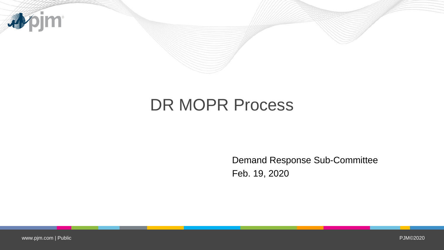

# DR MOPR Process

Demand Response Sub-Committee Feb. 19, 2020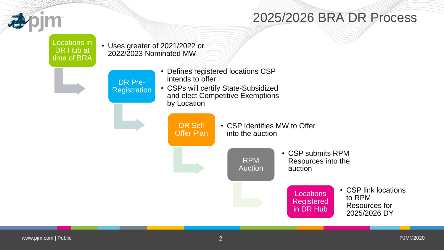

#### 2025/2026 BRA DR Process

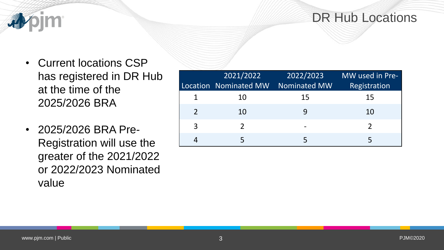#### DR Hub Locations



- Current locations CSP has registered in DR Hub at the time of the 2025/2026 BRA
- 2025/2026 BRA Pre-Registration will use the greater of the 2021/2022 or 2022/2023 Nominated value

|                | 2021/2022<br>Location Nominated MW | 2022/2023<br>Nominated MW | MW used in Pre-<br>Registration |
|----------------|------------------------------------|---------------------------|---------------------------------|
|                | 10                                 | 15                        | 15                              |
| $\mathfrak{D}$ | 10                                 |                           | 10                              |
| 3              |                                    |                           | $\mathcal{P}$                   |
|                |                                    |                           |                                 |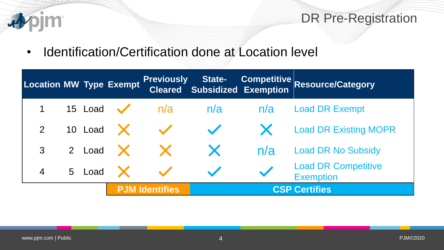

DR Pre-Registration

• Identification/Certification done at Location level

| Location MW Type Exempt |  |                            |                       |                      |     | <b>Previously State- Competitive Resource/Category<br/>Cleared Subsidized Exemption Resource/Category</b> |
|-------------------------|--|----------------------------|-----------------------|----------------------|-----|-----------------------------------------------------------------------------------------------------------|
|                         |  | 1 $15$ Load $\sqrt{ }$ n/a |                       | n/a                  | n/a | <b>Load DR Exempt</b>                                                                                     |
|                         |  | 10 Load $\times$           |                       |                      |     | <b>Load DR Existing MOPR</b>                                                                              |
|                         |  | $3 \t2$ Load $\times$      |                       |                      | n/a | <b>Load DR No Subsidy</b>                                                                                 |
| $\overline{4}$          |  | 5 Load X                   |                       |                      |     | <b>Load DR Competitive</b><br><b>Exemption</b>                                                            |
|                         |  |                            | <b>PJM Identifies</b> | <b>CSP Certifies</b> |     |                                                                                                           |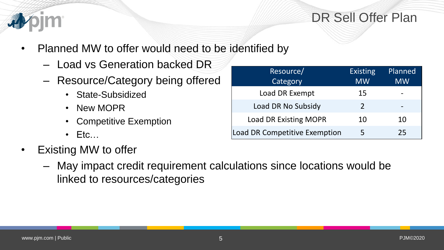#### DR Sell Offer Plan



- Planned MW to offer would need to be identified by
	- Load vs Generation backed DR
	- Resource/Category being offered
		- State-Subsidized
		- New MOPR
		- Competitive Exemption
		- $\cdot$  Etc...
- Existing MW to offer
	- May impact credit requirement calculations since locations would be linked to resources/categories

| Resource/                            | Existing      | Planned   |
|--------------------------------------|---------------|-----------|
| Category                             | <b>MW</b>     | <b>MW</b> |
| Load DR Exempt                       | 15            |           |
| Load DR No Subsidy                   | $\mathcal{P}$ |           |
| <b>Load DR Existing MOPR</b>         | 10            | 10        |
| <b>Load DR Competitive Exemption</b> |               | 25        |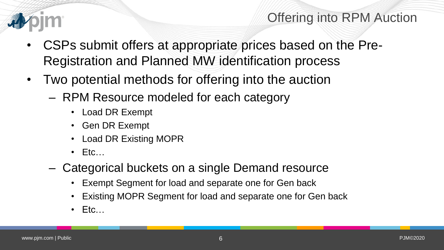

## Offering into RPM Auction

- CSPs submit offers at appropriate prices based on the Pre-Registration and Planned MW identification process
- Two potential methods for offering into the auction
	- RPM Resource modeled for each category
		- Load DR Exempt
		- Gen DR Exempt
		- Load DR Existing MOPR
		- $\cdot$  Etc...
	- Categorical buckets on a single Demand resource
		- Exempt Segment for load and separate one for Gen back
		- Existing MOPR Segment for load and separate one for Gen back
		- Etc…